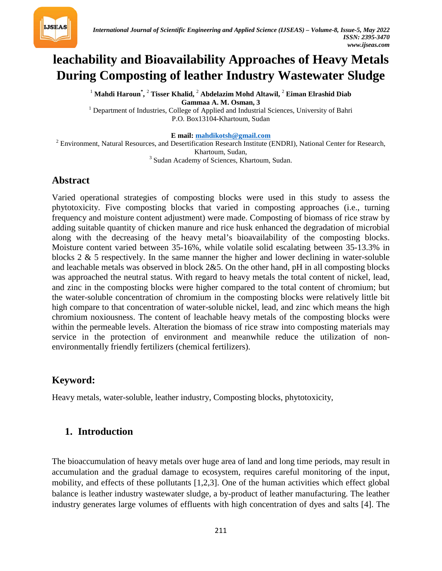

# **leachability and Bioavailability Approaches of Heavy Metals During Composting of leather Industry Wastewater Sludge**

 $^1$  Mahdi Haroun $^*$ ,  $^2$  Tisser Khalid,  $^2$  Abdelazim Mohd Altawil,  $^2$  Eiman Elrashid Diab **Gammaa A. M. Osman, 3** <sup>1</sup> Department of Industries, College of Applied and Industrial Sciences, University of Bahri P.O. Box13104-Khartoum, Sudan

 $E$  mail: [mahdikotsh@gmail.com](mailto:mahdikotsh@gmail.com)

<sup>2</sup> Environment, Natural Resources, and Desertification Research Institute (ENDRI), National Center for Research, Khartoum, Sudan, <sup>3</sup> Sudan Academy of Sciences, Khartoum, Sudan.

**Abstract**

Varied operational strategies of composting blocks were used in this study to assess the phytotoxicity. Five composting blocks that varied in composting approaches (i.e., turning frequency and moisture content adjustment) were made. Composting of biomass of rice straw by adding suitable quantity of chicken manure and rice husk enhanced the degradation of microbial along with the decreasing of the heavy metal's bioavailability of the composting blocks. Moisture content varied between 35-16%, while volatile solid escalating between 35-13.3% in blocks  $2 \& 5$  respectively. In the same manner the higher and lower declining in water-soluble and leachable metals was observed in block 2&5. On the other hand, pH in all composting blocks was approached the neutral status. With regard to heavy metals the total content of nickel, lead, and zinc in the composting blocks were higher compared to the total content of chromium; but the water-soluble concentration of chromium in the composting blocks were relatively little bit high compare to that concentration of water-soluble nickel, lead, and zinc which means the high chromium noxiousness. The content of leachable heavy metals of the composting blocks were within the permeable levels. Alteration the biomass of rice straw into composting materials may service in the protection of environment and meanwhile reduce the utilization of nonenvironmentally friendly fertilizers (chemical fertilizers).

## **Keyword:**

Heavy metals, water-soluble, leather industry, Composting blocks, phytotoxicity,

## **1. Introduction**

The bioaccumulation of heavy metals over huge area of land and long time periods, may result in accumulation and the gradual damage to ecosystem, requires careful monitoring of the input, mobility, and effects of these pollutants [1,2,3]. One of the human activities which effect global balance is leather industry wastewater sludge, a by-product of leather manufacturing. The leather industry generates large volumes of effluents with high concentration of dyes and salts [4]. The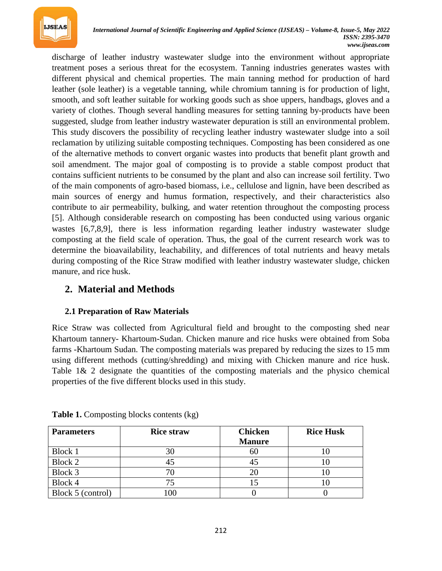

discharge of leather industry wastewater sludge into the environment without appropriate treatment poses a serious threat for the ecosystem. Tanning industries generates wastes with different physical and chemical properties. The main tanning method for production of hard leather (sole leather) is a vegetable tanning, while chromium tanning is for production of light, smooth, and soft leather suitable for working goods such as shoe uppers, handbags, gloves and a variety of clothes. Though several handling measures for setting tanning by-products have been suggested, sludge from leather industry wastewater depuration is still an environmental problem. This study discovers the possibility of recycling leather industry wastewater sludge into a soil reclamation by utilizing suitable composting techniques. Composting has been considered as one of the alternative methods to convert organic wastes into products that benefit plant growth and soil amendment. The major goal of composting is to provide a stable compost product that contains sufficient nutrients to be consumed by the plant and also can increase soil fertility. Two of the main components of agro-based biomass, i.e., cellulose and lignin, have been described as main sources of energy and humus formation, respectively, and their characteristics also contribute to air permeability, bulking, and water retention throughout the composting process [5]. Although considerable research on composting has been conducted using various organic wastes [6,7,8,9], there is less information regarding leather industry wastewater sludge composting at the field scale of operation. Thus, the goal of the current research work was to determine the bioavailability, leachability, and differences of total nutrients and heavy metals during composting of the Rice Straw modified with leather industry wastewater sludge, chicken manure, and rice husk.

## **2. Material and Methods**

#### **2.1 Preparation of Raw Materials**

Rice Straw was collected from Agricultural field and brought to the composting shed near Khartoum tannery- Khartoum-Sudan. Chicken manure and rice husks were obtained from Soba farms -Khartoum Sudan. The composting materials was prepared by reducing the sizes to 15 mm using different methods (cutting/shredding) and mixing with Chicken manure and rice husk. Table  $1\&$  2 designate the quantities of the composting materials and the physico chemical properties of the five different blocks used in this study.

| <b>Parameters</b> | <b>Rice straw</b> | <b>Chicken</b> | <b>Rice Husk</b> |  |
|-------------------|-------------------|----------------|------------------|--|
|                   |                   | <b>Manure</b>  |                  |  |
| Block 1           | 30                | 60             |                  |  |
| Block 2           | 45                | 45             |                  |  |
| Block 3           |                   | 20             | ΙU               |  |
| Block 4           |                   |                |                  |  |
| Block 5 (control) |                   |                |                  |  |

**Table 1.** Composting blocks contents (kg)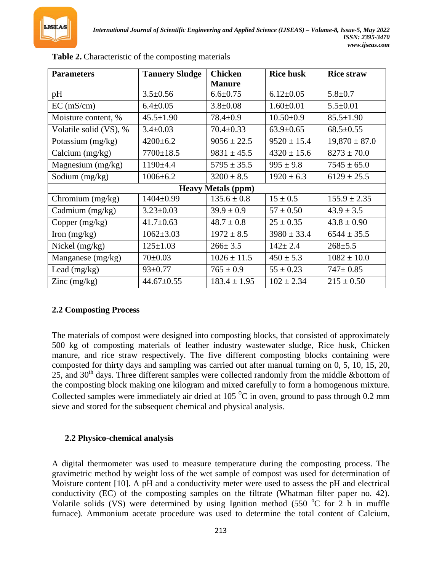

| <b>Parameters</b>      | <b>Tannery Sludge</b> | <b>Chicken</b>            | <b>Rice husk</b> | <b>Rice straw</b> |  |
|------------------------|-----------------------|---------------------------|------------------|-------------------|--|
|                        |                       | <b>Manure</b>             |                  |                   |  |
| pH                     | $3.5 \pm 0.56$        | $6.6 \pm 0.75$            | $6.12 \pm 0.05$  | $5.8 \pm 0.7$     |  |
| EC (mS/cm)             | $6.4 \pm 0.05$        | $3.8 \pm 0.08$            | $1.60 \pm 0.01$  | $5.5 \pm 0.01$    |  |
| Moisture content, %    | $45.5 \pm 1.90$       | $78.4 \pm 0.9$            | $10.50 \pm 0.9$  | $85.5 \pm 1.90$   |  |
| Volatile solid (VS), % | $3.4 \pm 0.03$        | $70.4 \pm 0.33$           | $63.9 \pm 0.65$  | $68.5 \pm 0.55$   |  |
| Potassium (mg/kg)      | $4200 \pm 6.2$        | $9056 \pm 22.5$           | $9520 \pm 15.4$  | $19,870 \pm 87.0$ |  |
| Calcium $(mg/kg)$      | $7700 \pm 18.5$       | $9831 \pm 45.5$           | $4320 \pm 15.6$  | $8273 \pm 70.0$   |  |
| Magnesium $(mg/kg)$    | $1190+4.4$            | $5795 \pm 35.5$           | $995 \pm 9.8$    | $7545 \pm 65.0$   |  |
| Sodium (mg/kg)         | $1006 \pm 6.2$        | $3200 \pm 8.5$            | $1920 \pm 6.3$   | $6129 \pm 25.5$   |  |
|                        |                       | <b>Heavy Metals (ppm)</b> |                  |                   |  |
| Chromium $(mg/kg)$     | 1404±0.99             | $135.6 \pm 0.8$           | $15 \pm 0.5$     | $155.9 \pm 2.35$  |  |
| Cadmium (mg/kg)        | $3.23 \pm 0.03$       | $39.9 \pm 0.9$            | $57 \pm 0.50$    | $43.9 \pm 3.5$    |  |
| Copper $(mg/kg)$       | $41.7 \pm 0.63$       | $48.7 \pm 0.8$            | $25 \pm 0.35$    | $43.8 \pm 0.90$   |  |
| Iron $(mg/kg)$         | $1062 \pm 3.03$       | $1972 \pm 8.5$            | $3980 \pm 33.4$  | $6544 \pm 35.5$   |  |
| Nickel $(mg/kg)$       | $125 \pm 1.03$        | $266 \pm 3.5$             | $142 \pm 2.4$    | $268 + 5.5$       |  |
| Manganese (mg/kg)      | $70 \pm 0.03$         | $1026 \pm 11.5$           | $450 \pm 5.3$    | $1082 \pm 10.0$   |  |
| Lead $(mg/kg)$         | $93 \pm 0.77$         | $765 \pm 0.9$             | $55 \pm 0.23$    | $747 \pm 0.85$    |  |
| Zinc $(mg/kg)$         | $44.67 \pm 0.55$      | $183.4 \pm 1.95$          | $102 \pm 2.34$   | $215 \pm 0.50$    |  |

**Table 2.** Characteristic of the composting materials

#### **2.2 Composting Process**

The materials of compost were designed into composting blocks, that consisted of approximately 500 kg of composting materials of leather industry wastewater sludge, Rice husk, Chicken manure, and rice straw respectively. The five different composting blocks containing were composted for thirty days and sampling was carried out after manual turning on 0, 5, 10, 15, 20, 25, and 30<sup>th</sup> days. Three different samples were collected randomly from the middle &bottom of the composting block making one kilogram and mixed carefully to form a homogenous mixture. Collected samples were immediately air dried at 105 <sup>o</sup>C in oven, ground to pass through 0.2 mm sieve and stored for the subsequent chemical and physical analysis.

#### **2.2 Physico-chemical analysis**

A digital thermometer was used to measure temperature during the composting process. The gravimetric method by weight loss of the wet sample of compost was used for determination of Moisture content [10]. A pH and a conductivity meter were used to assess the pH and electrical conductivity (EC) of the composting samples on the filtrate (Whatman filter paper no. 42). Volatile solids (VS) were determined by using Ignition method (550 °C for 2 h in muffle furnace). Ammonium acetate procedure was used to determine the total content of Calcium,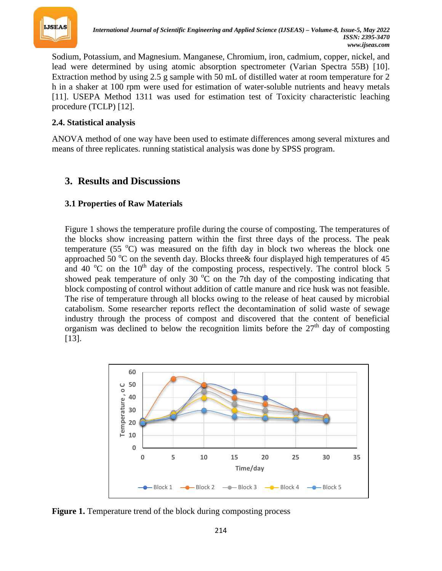

Sodium, Potassium, and Magnesium. Manganese, Chromium, iron, cadmium, copper, nickel, and lead were determined by using atomic absorption spectrometer (Varian Spectra 55B) [10]. Extraction method by using 2.5 g sample with 50 mL of distilled water at room temperature for 2 h in a shaker at 100 rpm were used for estimation of water-soluble nutrients and heavy metals [11]. USEPA Method 1311 was used for estimation test of Toxicity characteristic leaching procedure (TCLP) [12].

#### **2.4. Statistical analysis**

ANOVA method of one way have been used to estimate differences among several mixtures and means of three replicates. running statistical analysis was done by SPSS program.

## **3. Results and Discussions**

#### **3.1 Properties of Raw Materials**

Figure 1 shows the temperature profile during the course of composting. The temperatures of the blocks show increasing pattern within the first three days of the process. The peak temperature (55  $^{\circ}$ C) was measured on the fifth day in block two whereas the block one approached 50 °C on the seventh day. Blocks three& four displayed high temperatures of 45 and 40 °C on the 10<sup>th</sup> day of the composting process, respectively. The control block 5 showed peak temperature of only 30  $\degree$ C on the 7th day of the composting indicating that block composting of control without addition of cattle manure and rice husk was not feasible. The rise of temperature through all blocks owing to the release of heat caused by microbial catabolism. Some researcher reports reflect the decontamination of solid waste of sewage industry through the process of compost and discovered that the content of beneficial organism was declined to below the recognition limits before the 27<sup>th</sup> day of composting [13].



**Figure 1.** Temperature trend of the block during composting process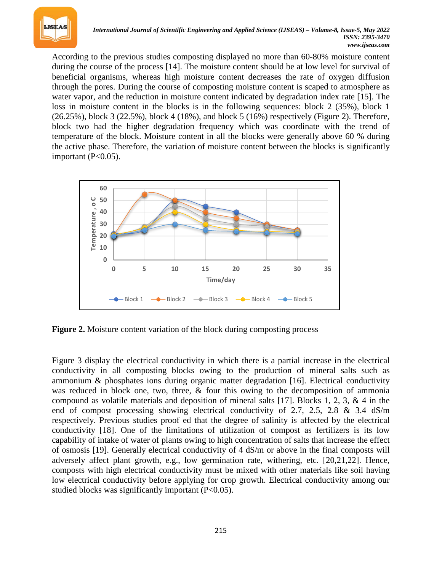

According to the previous studies composting displayed no more than 60-80% moisture content during the course of the process [14]. The moisture content should be at low level for survival of beneficial organisms, whereas high moisture content decreases the rate of oxygen diffusion through the pores. During the course of composting moisture content is scaped to atmosphere as water vapor, and the reduction in moisture content indicated by degradation index rate [15]. The loss in moisture content in the blocks is in the following sequences: block 2 (35%), block 1 (26.25%), block 3 (22.5%), block 4 (18%), and block 5 (16%) respectively (Figure 2). Therefore, block two had the higher degradation frequency which was coordinate with the trend of temperature of the block. Moisture content in all the blocks were generally above 60 % during the active phase. Therefore, the variation of moisture content between the blocks is significantly important  $(P<0.05)$ .



**Figure 2.** Moisture content variation of the block during composting process

Figure 3 display the electrical conductivity in which there is a partial increase in the electrical conductivity in all composting blocks owing to the production of mineral salts such as ammonium & phosphates ions during organic matter degradation [16]. Electrical conductivity was reduced in block one, two, three, & four this owing to the decomposition of ammonia compound as volatile materials and deposition of mineral salts [17]. Blocks 1, 2, 3, & 4 in the end of compost processing showing electrical conductivity of 2.7, 2.5, 2.8  $\&$  3.4 dS/m respectively. Previous studies proof ed that the degree of salinity is affected by the electrical conductivity [18]. One of the limitations of utilization of compost as fertilizers is its low capability of intake of water of plants owing to high concentration of salts that increase the effect of osmosis [19]. Generally electrical conductivity of 4 dS/m or above in the final composts will adversely affect plant growth, e.g., low germination rate, withering, etc. [20,21,22]. Hence, composts with high electrical conductivity must be mixed with other materials like soil having low electrical conductivity before applying for crop growth. Electrical conductivity among our studied blocks was significantly important  $(P<0.05)$ .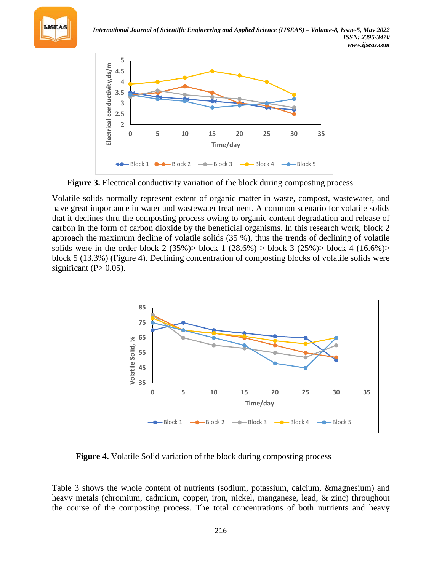



**Figure 3.** Electrical conductivity variation of the block during composting process

Volatile solids normally represent extent of organic matter in waste, compost, wastewater, and have great importance in water and wastewater treatment. A common scenario for volatile solids that it declines thru the composting process owing to organic content degradation and release of carbon in the form of carbon dioxide by the beneficial organisms. In this research work, block 2 approach the maximum decline of volatile solids (35 %), thus the trends of declining of volatile solids were in the order block 2 (35%) > block 1 (28.6%) > block 3 (25%) > block 4 (16.6%) > block 5 (13.3%) (Figure 4). Declining concentration of composting blocks of volatile solids were significant  $(P> 0.05)$ .



**Figure 4.** Volatile Solid variation of the block during composting process

Table 3 shows the whole content of nutrients (sodium, potassium, calcium, &magnesium) and heavy metals (chromium, cadmium, copper, iron, nickel, manganese, lead, & zinc) throughout the course of the composting process. The total concentrations of both nutrients and heavy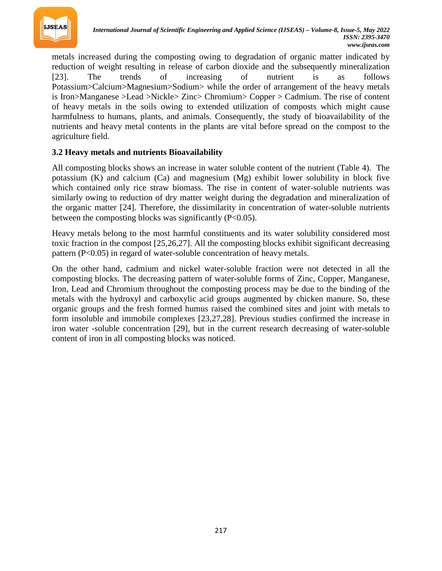

metals increased during the composting owing to degradation of organic matter indicated by reduction of weight resulting in release of carbon dioxide and the subsequently mineralization [23]. The trends of increasing of nutrient is as follows Potassium>Calcium>Magnesium>Sodium> while the order of arrangement of the heavy metals is Iron>Manganese >Lead >Nickle> Zinc> Chromium> Copper > Cadmium. The rise of content of heavy metals in the soils owing to extended utilization of composts which might cause harmfulness to humans, plants, and animals. Consequently, the study of bioavailability of the nutrients and heavy metal contents in the plants are vital before spread on the compost to the agriculture field.

#### **3.2 Heavy metals and nutrients Bioavailability**

All composting blocks shows an increase in water soluble content of the nutrient (Table 4). The potassium (K) and calcium (Ca) and magnesium (Mg) exhibit lower solubility in block five which contained only rice straw biomass. The rise in content of water-soluble nutrients was similarly owing to reduction of dry matter weight during the degradation and mineralization of the organic matter [24]. Therefore, the dissimilarity in concentration of water-soluble nutrients between the composting blocks was significantly (P<0.05).

Heavy metals belong to the most harmful constituents and its water solubility considered most toxic fraction in the compost [25,26,27]. All the composting blocks exhibit significant decreasing pattern (P<0.05) in regard of water-soluble concentration of heavy metals.

On the other hand, cadmium and nickel water-soluble fraction were not detected in all the composting blocks. The decreasing pattern of water-soluble forms of Zinc, Copper, Manganese, Iron, Lead and Chromium throughout the composting process may be due to the binding of the metals with the hydroxyl and carboxylic acid groups augmented by chicken manure. So, these organic groups and the fresh formed humus raised the combined sites and joint with metals to form insoluble and immobile complexes [23,27,28]. Previous studies confirmed the increase in iron water -soluble concentration [29], but in the current research decreasing of water-soluble content of iron in all composting blocks was noticed.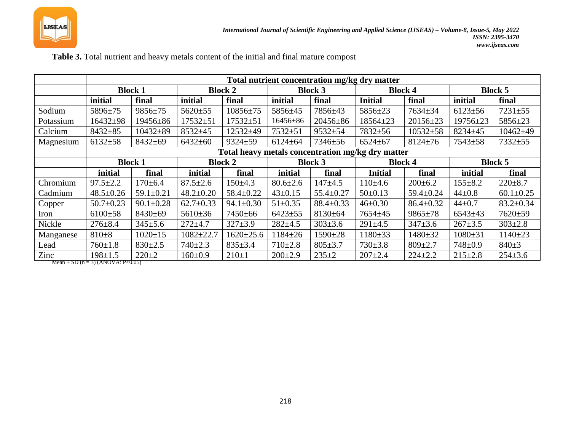

|           | Total nutrient concentration mg/kg dry matter |                 |                 |                 |                |                 |                                                   |                 |                |                 |  |
|-----------|-----------------------------------------------|-----------------|-----------------|-----------------|----------------|-----------------|---------------------------------------------------|-----------------|----------------|-----------------|--|
|           | <b>Block 1</b>                                |                 | <b>Block 2</b>  |                 | <b>Block 3</b> |                 | <b>Block 4</b>                                    |                 | <b>Block 5</b> |                 |  |
|           | initial                                       | final           | initial         | final           | initial        | final           | <b>Initial</b>                                    | final           | initial        | final           |  |
| Sodium    | 5896±75                                       | $9856 \pm 75$   | $5620+55$       | $10856 \pm 75$  | 5856±45        | 7856±43         | $5856 \pm 23$                                     | $7634 \pm 34$   | $6123 \pm 56$  | $7231 + 55$     |  |
| Potassium | $16432 \pm 98$                                | 19456±86        | $17532 + 51$    | $17532 + 51$    | 16456±86       | 20456±86        | $18564 \pm 23$                                    | $20156 \pm 23$  | 19756±23       | $5856 \pm 23$   |  |
| Calcium   | $8432 + 85$                                   | $10432 \pm 89$  | $8532+45$       | 12532±49        | $7532 + 51$    | $9532 + 54$     | 7832±56                                           | $10532 \pm 58$  | $8234 + 45$    | $10462{\pm}49$  |  |
| Magnesium | $6132+58$                                     | $8432 + 69$     | $6432 \pm 60$   | $9324 + 59$     | $6124 \pm 64$  | 7346±56         | $6524 \pm 67$                                     | $8124 \pm 76$   | $7543 + 58$    | $7332 + 55$     |  |
|           |                                               |                 |                 |                 |                |                 | Total heavy metals concentration mg/kg dry matter |                 |                |                 |  |
|           | <b>Block 1</b>                                |                 | <b>Block 2</b>  |                 | <b>Block 3</b> |                 | <b>Block 4</b>                                    |                 | <b>Block 5</b> |                 |  |
|           | initial                                       | final           | initial         | final           | initial        | final           | <b>Initial</b>                                    | final           | initial        | final           |  |
| Chromium  | $97.5 \pm 2.2$                                | $170 \pm 6.4$   | $87.5 \pm 2.6$  | $150 \pm 4.3$   | $80.6 \pm 2.6$ | $147+4.5$       | $110\pm4.6$                                       | $200 \pm 6.2$   | $155 \pm 8.2$  | $220 \pm 8.7$   |  |
| Cadmium   | $48.5 \pm 0.26$                               | $59.1 \pm 0.21$ | $48.2 \pm 0.20$ | $58.4 \pm 0.22$ | $43 \pm 0.15$  | $55.4 \pm 0.27$ | $50 \pm 0.13$                                     | $59.4 \pm 0.24$ | $44 + 0.8$     | $60.1 \pm 0.25$ |  |
| Copper    | $50.7 \pm 0.23$                               | $90.1 \pm 0.28$ | $62.7 \pm 0.33$ | $94.1 \pm 0.30$ | $51 \pm 0.35$  | $88.4 \pm 0.33$ | $46 \pm 0.30$                                     | $86.4 \pm 0.32$ | $44 \pm 0.7$   | $83.2 \pm 0.34$ |  |
| Iron      | $6100\pm58$                                   | 8430±69         | $5610 \pm 36$   | 7450±66         | $6423 + 55$    | $8130 \pm 64$   | $7654 + 45$                                       | $9865 \pm 78$   | $6543 \pm 43$  | $7620 + 59$     |  |
| Nickle    | $276 \pm 8.4$                                 | $345 \pm 5.6$   | $272 + 4.7$     | $327 \pm 3.9$   | $282 \pm 4.5$  | $303 \pm 3.6$   | $291 \pm 4.5$                                     | $347 \pm 3.6$   | $267 \pm 3.5$  | $303 \pm 2.8$   |  |
| Manganese | $810+8$                                       | $1020 \pm 15$   | $1082 + 22.7$   | $1620 \pm 25.6$ | $1184 \pm 26$  | $1590 \pm 28$   | $1180 \pm 33$                                     | $1480 \pm 32$   | $1080 \pm 31$  | $1140 \pm 23$   |  |
|           |                                               |                 |                 |                 |                |                 |                                                   |                 |                |                 |  |
| Lead      | $760 \pm 1.8$                                 | $830 \pm 2.5$   | $740 \pm 2.3$   | $835 \pm 3.4$   | $710 \pm 2.8$  | $805 \pm 3.7$   | $730 \pm 3.8$                                     | $809 \pm 2.7$   | $748 \pm 0.9$  | $840+3$         |  |

Mean  $\pm$  SD (n = 3) (ANOVA: P<0.05)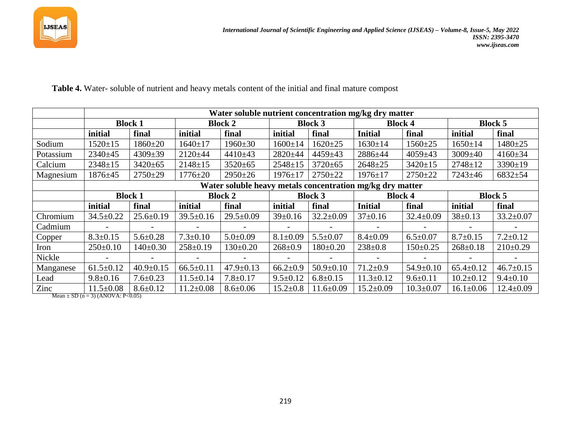

**Table 4.** Water- soluble of nutrient and heavy metals content of the initial and final mature compost

|           | Water soluble nutrient concentration mg/kg dry matter     |                 |                          |                 |                |                 |                 |                 |                 |                 |  |  |
|-----------|-----------------------------------------------------------|-----------------|--------------------------|-----------------|----------------|-----------------|-----------------|-----------------|-----------------|-----------------|--|--|
|           | <b>Block 1</b>                                            |                 | <b>Block 2</b>           |                 | <b>Block 3</b> |                 | <b>Block 4</b>  |                 | <b>Block 5</b>  |                 |  |  |
|           | initial                                                   | final           | initial                  | final           | initial        | final           | <b>Initial</b>  | final           | initial         | final           |  |  |
| Sodium    | $1520 \pm 15$                                             | $1860+20$       | $1640 \pm 17$            | $1960 \pm 30$   | $1600 \pm 14$  | $1620 \pm 25$   | $1630 \pm 14$   | $1560 \pm 25$   | $1650 \pm 14$   | $1480 + 25$     |  |  |
| Potassium | 2340±45                                                   | $4309 \pm 39$   | $2120 \pm 44$            | $4410+43$       | 2820±44        | $4459 \pm 43$   | 2886±44         | $4059 \pm 43$   | $3009 \pm 40$   | $4160 \pm 34$   |  |  |
| Calcium   | $2348 \pm 15$                                             | $3420 \pm 65$   | $2148 \pm 15$            | $3520 \pm 65$   | $2548 \pm 15$  | $3720 \pm 65$   | $2648 + 25$     | $3420 \pm 15$   | $2748 \pm 12$   | $3390 \pm 19$   |  |  |
| Magnesium | $1876 + 45$                                               | $2750+29$       | $1776 \pm 20$            | $2950+26$       | $1976 \pm 17$  | $2750 + 22$     | $1976 \pm 17$   | $2750+22$       | $7243 \pm 46$   | $6832 + 54$     |  |  |
|           | Water soluble heavy metals concentration mg/kg dry matter |                 |                          |                 |                |                 |                 |                 |                 |                 |  |  |
|           | <b>Block 1</b>                                            |                 | <b>Block 2</b>           |                 | <b>Block 3</b> |                 | <b>Block 4</b>  |                 | <b>Block 5</b>  |                 |  |  |
|           | initial                                                   | final           | initial                  | final           | initial        | final           | <b>Initial</b>  | final           | initial         | final           |  |  |
| Chromium  | $34.5 \pm 0.22$                                           | $25.6 \pm 0.19$ | $39.5 \pm 0.16$          | $29.5 \pm 0.09$ | $39 \pm 0.16$  | $32.2 \pm 0.09$ | $37 \pm 0.16$   | $32.4 \pm 0.09$ | $38 \pm 0.13$   | $33.2 \pm 0.07$ |  |  |
| Cadmium   | $\overline{\phantom{a}}$                                  |                 | $\overline{\phantom{a}}$ |                 |                |                 |                 |                 |                 |                 |  |  |
| Copper    | $8.3 \pm 0.15$                                            | $5.6 \pm 0.28$  | $7.3 \pm 0.10$           | $5.0 \pm 0.09$  | $8.1 \pm 0.09$ | $5.5 \pm 0.07$  | $8.4 \pm 0.09$  | $6.5 \pm 0.07$  | $8.7 \pm 0.15$  | $7.2 \pm 0.12$  |  |  |
| Iron      | $250 \pm 0.10$                                            | $140 \pm 0.30$  | $258 \pm 0.19$           | $130 \pm 0.20$  | $268 \pm 0.9$  | $180 \pm 0.20$  | $238 \pm 0.8$   | $150 \pm 0.25$  | $268 \pm 0.18$  | $210\pm0.29$    |  |  |
| Nickle    | $\overline{\phantom{0}}$                                  |                 | $\overline{\phantom{a}}$ |                 |                |                 |                 |                 |                 |                 |  |  |
| Manganese | $61.5 \pm 0.12$                                           | $40.9 \pm 0.15$ | $66.5 \pm 0.11$          | $47.9 \pm 0.13$ | $66.2 \pm 0.9$ | $50.9 \pm 0.10$ | $71.2 \pm 0.9$  | $54.9 \pm 0.10$ | $65.4 \pm 0.12$ | $46.7 \pm 0.15$ |  |  |
| Lead      | $9.8 \pm 0.16$                                            | $7.6 \pm 0.23$  | $11.5 \pm 0.14$          | $7.8 \pm 0.17$  | $9.5 \pm 0.12$ | $6.8 \pm 0.15$  | $11.3 \pm 0.12$ | $9.6 \pm 0.11$  | $10.2 \pm 0.12$ | $9.4 \pm 0.10$  |  |  |
| Zinc      | $11.5 \pm 0.08$                                           | $8.6 \pm 0.12$  | $11.2 \pm 0.08$          | $8.6 \pm 0.06$  | $15.2 \pm 0.8$ | $11.6 \pm 0.09$ | $15.2 \pm 0.09$ | $10.3 \pm 0.07$ | $16.1 \pm 0.06$ | $12.4 \pm 0.09$ |  |  |

Mean  $\pm$  SD (n = 3) (ANOVA: P<0.05)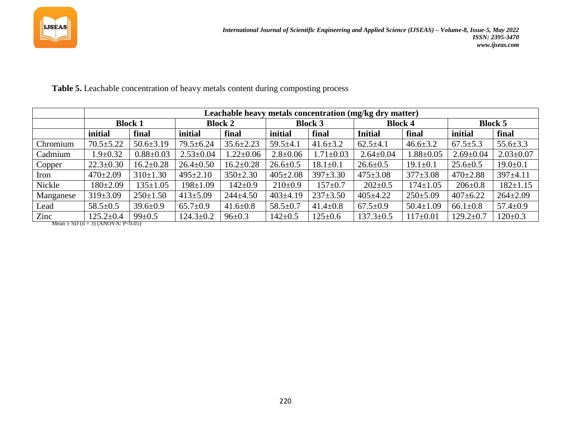

|                                       | Leachable heavy metals concentration (mg/kg dry matter) |                 |                 |                 |                |                 |                 |                 |                 |                 |
|---------------------------------------|---------------------------------------------------------|-----------------|-----------------|-----------------|----------------|-----------------|-----------------|-----------------|-----------------|-----------------|
|                                       | <b>Block 1</b>                                          |                 | <b>Block 2</b>  |                 | <b>Block 3</b> |                 | <b>Block 4</b>  |                 | <b>Block 5</b>  |                 |
|                                       | initial                                                 | final           | initial         | final           | initial        | final           | <b>Initial</b>  | final           | initial         | final           |
| Chromium                              | $70.5 \pm 5.22$                                         | $50.6 \pm 3.19$ | 79.5±6.24       | $35.6 \pm 2.23$ | $59.5+4.1$     | $41.6 \pm 3.2$  | $62.5 \pm 4.1$  | $46.6 \pm 3.2$  | $67.5 \pm 5.3$  | $55.6 \pm 3.3$  |
| Cadmium                               | $1.9 \pm 0.32$                                          | $0.88 \pm 0.03$ | $2.53 \pm 0.04$ | $1.22 \pm 0.06$ | $2.8 \pm 0.06$ | $1.71 \pm 0.03$ | $2.64 \pm 0.04$ | $1.88 \pm 0.05$ | $2.69 \pm 0.04$ | $2.03 \pm 0.07$ |
| Copper                                | $22.3 \pm 0.30$                                         | $16.2 \pm 0.28$ | $26.4 \pm 0.50$ | $16.2 \pm 0.28$ | $26.6 \pm 0.5$ | $18.1 \pm 0.1$  | $26.6 \pm 0.5$  | $19.1 \pm 0.1$  | $25.6 \pm 0.5$  | $19.0 \pm 0.1$  |
| Iron                                  | $470 \pm 2.09$                                          | $310 \pm 1.30$  | $495 \pm 2.10$  | $350 \pm 2.30$  | $405 \pm 2.08$ | $397 \pm 3.30$  | $475 \pm 3.08$  | $377 \pm 3.08$  | $470 \pm 2.88$  | $397 \pm 4.11$  |
| Nickle                                | $180 \pm 2.09$                                          | $135 \pm 1.05$  | $198 \pm 1.09$  | $142 \pm 0.9$   | $210\pm0.9$    | $157 \pm 0.7$   | $202 \pm 0.5$   | $174 \pm 1.05$  | $206 \pm 0.8$   | $182 \pm 1.15$  |
| Manganese                             | $319 \pm 3.09$                                          | $250 \pm 1.50$  | $413 \pm 5.09$  | $244 \pm 4.50$  | $403 \pm 4.19$ | $237 \pm 3.50$  | $405 \pm 4.22$  | $250 \pm 5.09$  | $407 \pm 6.22$  | $264 \pm 2.09$  |
| Lead                                  | $58.5 \pm 0.5$                                          | $39.6 \pm 0.9$  | $65.7 \pm 0.9$  | $41.6 \pm 0.8$  | $58.5 \pm 0.7$ | $41.4 \pm 0.8$  | $67.5 \pm 0.9$  | $50.4 \pm 1.09$ | $66.1 \pm 0.8$  | $57.4 \pm 0.9$  |
| Zinc                                  | $125.2 \pm 0.4$                                         | $99 \pm 0.5$    | $124.3 \pm 0.2$ | $96 \pm 0.3$    | $142 \pm 0.5$  | $125 \pm 0.6$   | $137.3 \pm 0.5$ | $117\pm0.01$    | $129.2 \pm 0.7$ | $120 \pm 0.3$   |
| Mean $\pm$ SD (n = 3) (ANOVA: P<0.05) |                                                         |                 |                 |                 |                |                 |                 |                 |                 |                 |

**Table 5.** Leachable concentration of heavy metals content during composting process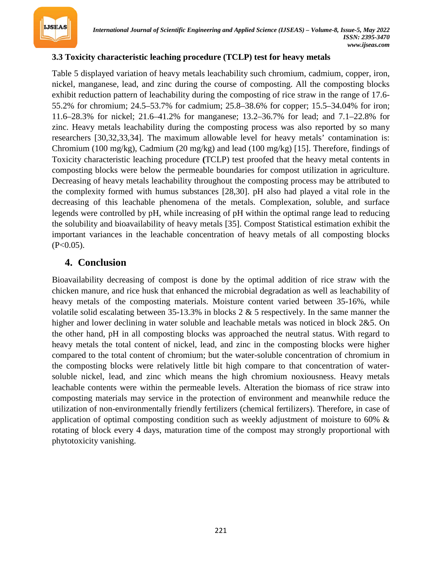

### **3.3 Toxicity characteristic leaching procedure (TCLP) test for heavy metals**

Table 5 displayed variation of heavy metals leachability such chromium, cadmium, copper, iron, nickel, manganese, lead, and zinc during the course of composting. All the composting blocks exhibit reduction pattern of leachability during the composting of rice straw in the range of 17.6- 55.2% for chromium; 24.5–53.7% for cadmium; 25.8–38.6% for copper; 15.5–34.04% for iron; 11.6–28.3% for nickel; 21.6–41.2% for manganese; 13.2–36.7% for lead; and 7.1–22.8% for zinc. Heavy metals leachability during the composting process was also reported by so many researchers [30,32,33,34]. The maximum allowable level for heavy metals' contamination is: Chromium (100 mg/kg), Cadmium (20 mg/kg) and lead (100 mg/kg) [15]. Therefore, findings of Toxicity characteristic leaching procedure **(**TCLP) test proofed that the heavy metal contents in composting blocks were below the permeable boundaries for compost utilization in agriculture. Decreasing of heavy metals leachability throughout the composting process may be attributed to the complexity formed with humus substances [28,30]. pH also had played a vital role in the decreasing of this leachable phenomena of the metals. Complexation, soluble, and surface legends were controlled by pH, while increasing of pH within the optimal range lead to reducing the solubility and bioavailability of heavy metals [35]. Compost Statistical estimation exhibit the important variances in the leachable concentration of heavy metals of all composting blocks  $(P<0.05)$ .

## **4. Conclusion**

Bioavailability decreasing of compost is done by the optimal addition of rice straw with the chicken manure, and rice husk that enhanced the microbial degradation as well as leachability of heavy metals of the composting materials. Moisture content varied between 35-16%, while volatile solid escalating between 35-13.3% in blocks 2 & 5 respectively. In the same manner the higher and lower declining in water soluble and leachable metals was noticed in block 2&5. On the other hand, pH in all composting blocks was approached the neutral status. With regard to heavy metals the total content of nickel, lead, and zinc in the composting blocks were higher compared to the total content of chromium; but the water-soluble concentration of chromium in the composting blocks were relatively little bit high compare to that concentration of watersoluble nickel, lead, and zinc which means the high chromium noxiousness. Heavy metals leachable contents were within the permeable levels. Alteration the biomass of rice straw into composting materials may service in the protection of environment and meanwhile reduce the utilization of non-environmentally friendly fertilizers (chemical fertilizers). Therefore, in case of application of optimal composting condition such as weekly adjustment of moisture to 60% & rotating of block every 4 days, maturation time of the compost may strongly proportional with phytotoxicity vanishing.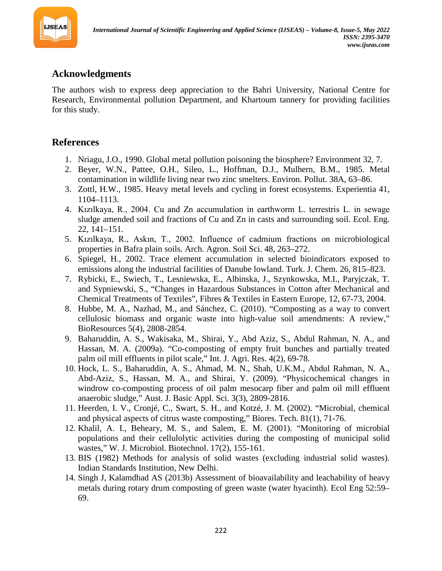

## **Acknowledgments**

The authors wish to express deep appreciation to the Bahri University, National Centre for Research, Environmental pollution Department, and Khartoum tannery for providing facilities for this study.

# **References**

- 1. Nriagu, J.O., 1990. Global metal pollution poisoning the biosphere? Environment 32, 7.
- 2. Beyer, W.N., Pattee, O.H., Sileo, L., Hoffman, D.J., Mulhern, B.M., 1985. Metal contamination in wildlife living near two zinc smelters. Environ. Pollut. 38A, 63–86.
- 3. Zottl, H.W., 1985. Heavy metal levels and cycling in forest ecosystems. Experientia 41, 1104–1113.
- 4. Kızılkaya, R., 2004. Cu and Zn accumulation in earthworm L. terrestris L. in sewage sludge amended soil and fractions of Cu and Zn in casts and surrounding soil. Ecol. Eng. 22, 141–151.
- 5. Kızılkaya, R., Askın, T., 2002. Influence of cadmium fractions on microbiological properties in Bafra plain soils. Arch. Agron. Soil Sci. 48, 263–272.
- 6. Spiegel, H., 2002. Trace element accumulation in selected bioindicators exposed to emissions along the industrial facilities of Danube lowland. Turk. J. Chem. 26, 815–823.
- 7. Rybicki, E., Swiech, T., Lesniewska, E., Albinska, J., Szynkowska, M.I., Paryjczak, T. and Sypniewski, S., "Changes in Hazardous Substances in Cotton after Mechanical and Chemical Treatments of Textiles", Fibres & Textiles in Eastern Europe, 12, 67-73, 2004.
- 8. Hubbe, M. A., Nazhad, M., and Sánchez, C. (2010). "Composting as a way to convert cellulosic biomass and organic waste into high-value soil amendments: A review," BioResources 5(4), 2808-2854.
- 9. Baharuddin, A. S., Wakisaka, M., Shirai, Y., Abd Aziz, S., Abdul Rahman, N. A., and Hassan, M. A. (2009a). "Co-composting of empty fruit bunches and partially treated palm oil mill effluents in pilot scale," Int. J. Agri. Res. 4(2), 69-78.
- 10. Hock, L. S., Baharuddin, A. S., Ahmad, M. N., Shah, U.K.M., Abdul Rahman, N. A., Abd-Aziz, S., Hassan, M. A., and Shirai, Y. (2009). "Physicochemical changes in windrow co-composting process of oil palm mesocarp fiber and palm oil mill effluent anaerobic sludge," Aust. J. Basic Appl. Sci. 3(3), 2809-2816.
- 11. Heerden, I. V., Cronjé, C., Swart, S. H., and Kotzé, J. M. (2002). "Microbial, chemical and physical aspects of citrus waste composting," Biores. Tech. 81(1), 71-76.
- 12. Khalil, A. I., Beheary, M. S., and Salem, E. M. (2001). "Monitoring of microbial populations and their cellulolytic activities during the composting of municipal solid wastes," W. J. Microbiol. Biotechnol. 17(2), 155-161.
- 13. BIS (1982) Methods for analysis of solid wastes (excluding industrial solid wastes). Indian Standards Institution, New Delhi.
- 14. Singh J, Kalamdhad AS (2013b) Assessment of bioavailability and leachability of heavy metals during rotary drum composting of green waste (water hyacinth). Ecol Eng 52:59– 69.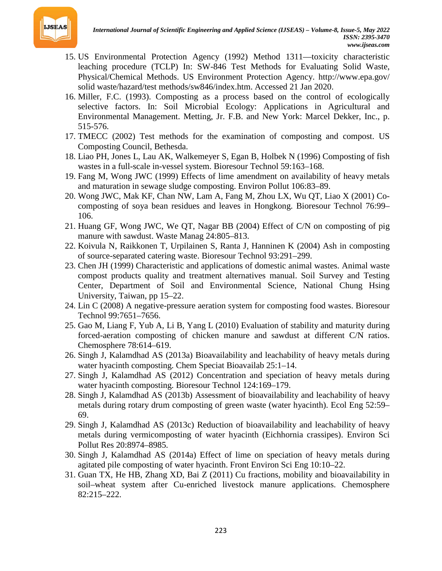

- 15. US Environmental Protection Agency (1992) Method 1311—toxicity characteristic leaching procedure (TCLP) In: SW-846 Test Methods for Evaluating Solid Waste, Physical/Chemical Methods. US Environment Protection Agency. http://www.epa.gov/ solid waste/hazard/test methods/sw846/index.htm. Accessed 21 Jan 2020.
- 16. Miller, F.C. (1993). Composting as a process based on the control of ecologically selective factors. In: Soil Microbial Ecology: Applications in Agricultural and Environmental Management. Metting, Jr. F.B. and New York: Marcel Dekker, Inc., p. 515-576.
- 17. TMECC (2002) Test methods for the examination of composting and compost. US Composting Council, Bethesda.
- 18. Liao PH, Jones L, Lau AK, Walkemeyer S, Egan B, Holbek N (1996) Composting of fish wastes in a full-scale in-vessel system. Bioresour Technol 59:163–168.
- 19. Fang M, Wong JWC (1999) Effects of lime amendment on availability of heavy metals and maturation in sewage sludge composting. Environ Pollut 106:83–89.
- 20. Wong JWC, Mak KF, Chan NW, Lam A, Fang M, Zhou LX, Wu QT, Liao X (2001) Cocomposting of soya bean residues and leaves in Hongkong. Bioresour Technol 76:99– 106.
- 21. Huang GF, Wong JWC, We QT, Nagar BB (2004) Effect of C/N on composting of pig manure with sawdust. Waste Manag 24:805–813.
- 22. Koivula N, Raikkonen T, Urpilainen S, Ranta J, Hanninen K (2004) Ash in composting of source-separated catering waste. Bioresour Technol 93:291–299.
- 23. Chen JH (1999) Characteristic and applications of domestic animal wastes. Animal waste compost products quality and treatment alternatives manual. Soil Survey and Testing Center, Department of Soil and Environmental Science, National Chung Hsing University, Taiwan, pp 15–22.
- 24. Lin C (2008) A negative-pressure aeration system for composting food wastes. Bioresour Technol 99:7651–7656.
- 25. Gao M, Liang F, Yub A, Li B, Yang L (2010) Evaluation of stability and maturity during forced-aeration composting of chicken manure and sawdust at different C/N ratios. Chemosphere 78:614–619.
- 26. Singh J, Kalamdhad AS (2013a) Bioavailability and leachability of heavy metals during water hyacinth composting. Chem Speciat Bioavailab 25:1–14.
- 27. Singh J, Kalamdhad AS (2012) Concentration and speciation of heavy metals during water hyacinth composting. Bioresour Technol 124:169–179.
- 28. Singh J, Kalamdhad AS (2013b) Assessment of bioavailability and leachability of heavy metals during rotary drum composting of green waste (water hyacinth). Ecol Eng 52:59– 69.
- 29. Singh J, Kalamdhad AS (2013c) Reduction of bioavailability and leachability of heavy metals during vermicomposting of water hyacinth (Eichhornia crassipes). Environ Sci Pollut Res 20:8974–8985.
- 30. Singh J, Kalamdhad AS (2014a) Effect of lime on speciation of heavy metals during agitated pile composting of water hyacinth. Front Environ Sci Eng 10:10–22.
- 31. Guan TX, He HB, Zhang XD, Bai Z (2011) Cu fractions, mobility and bioavailability in soil–wheat system after Cu-enriched livestock manure applications. Chemosphere 82:215–222.